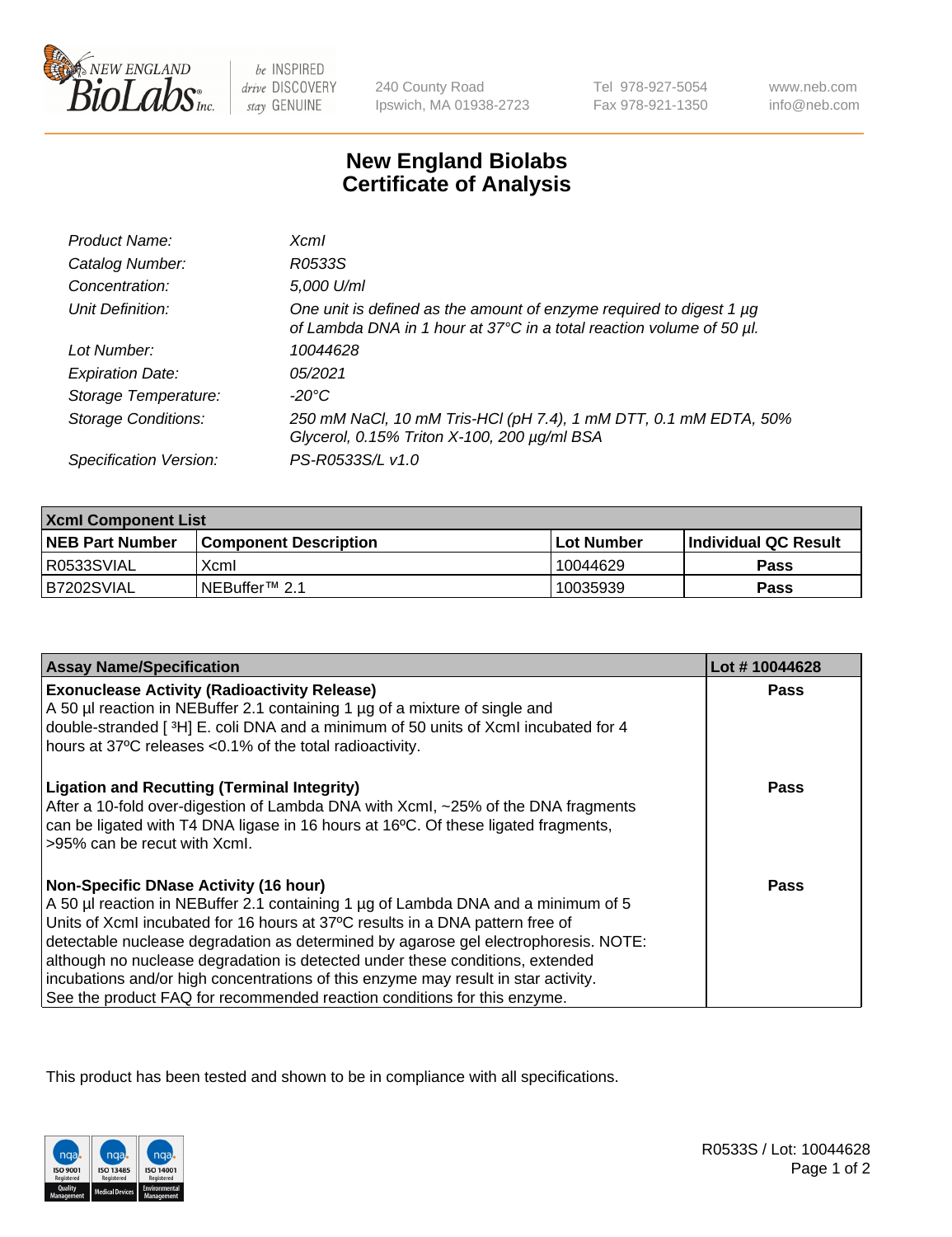

 $be$  INSPIRED drive DISCOVERY stay GENUINE

240 County Road Ipswich, MA 01938-2723 Tel 978-927-5054 Fax 978-921-1350

www.neb.com info@neb.com

## **New England Biolabs Certificate of Analysis**

| Product Name:              | Xcml                                                                                                                                        |
|----------------------------|---------------------------------------------------------------------------------------------------------------------------------------------|
| Catalog Number:            | R0533S                                                                                                                                      |
| Concentration:             | 5,000 U/ml                                                                                                                                  |
| Unit Definition:           | One unit is defined as the amount of enzyme required to digest 1 µg<br>of Lambda DNA in 1 hour at 37°C in a total reaction volume of 50 µl. |
| Lot Number:                | 10044628                                                                                                                                    |
| <b>Expiration Date:</b>    | 05/2021                                                                                                                                     |
| Storage Temperature:       | -20°C                                                                                                                                       |
| <b>Storage Conditions:</b> | 250 mM NaCl, 10 mM Tris-HCl (pH 7.4), 1 mM DTT, 0.1 mM EDTA, 50%<br>Glycerol, 0.15% Triton X-100, 200 µg/ml BSA                             |
| Specification Version:     | PS-R0533S/L v1.0                                                                                                                            |

| <b>Xcml Component List</b> |                              |                   |                             |  |
|----------------------------|------------------------------|-------------------|-----------------------------|--|
| <b>NEB Part Number</b>     | <b>Component Description</b> | <b>Lot Number</b> | <b>Individual QC Result</b> |  |
| I R0533SVIAL               | Xcml                         | 10044629          | <b>Pass</b>                 |  |
| B7202SVIAL                 | INEBuffer <sup>™</sup> 2.1   | 10035939          | Pass                        |  |

| <b>Assay Name/Specification</b>                                                                                                                                                                                                                                                                                                                                                                                                                                                                                                                              | Lot #10044628 |
|--------------------------------------------------------------------------------------------------------------------------------------------------------------------------------------------------------------------------------------------------------------------------------------------------------------------------------------------------------------------------------------------------------------------------------------------------------------------------------------------------------------------------------------------------------------|---------------|
| <b>Exonuclease Activity (Radioactivity Release)</b><br>A 50 µl reaction in NEBuffer 2.1 containing 1 µg of a mixture of single and                                                                                                                                                                                                                                                                                                                                                                                                                           | Pass          |
| double-stranded [3H] E. coli DNA and a minimum of 50 units of Xcml incubated for 4<br>hours at 37°C releases <0.1% of the total radioactivity.                                                                                                                                                                                                                                                                                                                                                                                                               |               |
| <b>Ligation and Recutting (Terminal Integrity)</b><br>After a 10-fold over-digestion of Lambda DNA with Xcml, ~25% of the DNA fragments<br>can be ligated with T4 DNA ligase in 16 hours at 16°C. Of these ligated fragments,<br>>95% can be recut with Xcml.                                                                                                                                                                                                                                                                                                | <b>Pass</b>   |
| <b>Non-Specific DNase Activity (16 hour)</b><br>A 50 µl reaction in NEBuffer 2.1 containing 1 µg of Lambda DNA and a minimum of 5<br>Units of XcmI incubated for 16 hours at 37°C results in a DNA pattern free of<br>detectable nuclease degradation as determined by agarose gel electrophoresis. NOTE:<br>although no nuclease degradation is detected under these conditions, extended<br>incubations and/or high concentrations of this enzyme may result in star activity.<br>See the product FAQ for recommended reaction conditions for this enzyme. | Pass          |

This product has been tested and shown to be in compliance with all specifications.